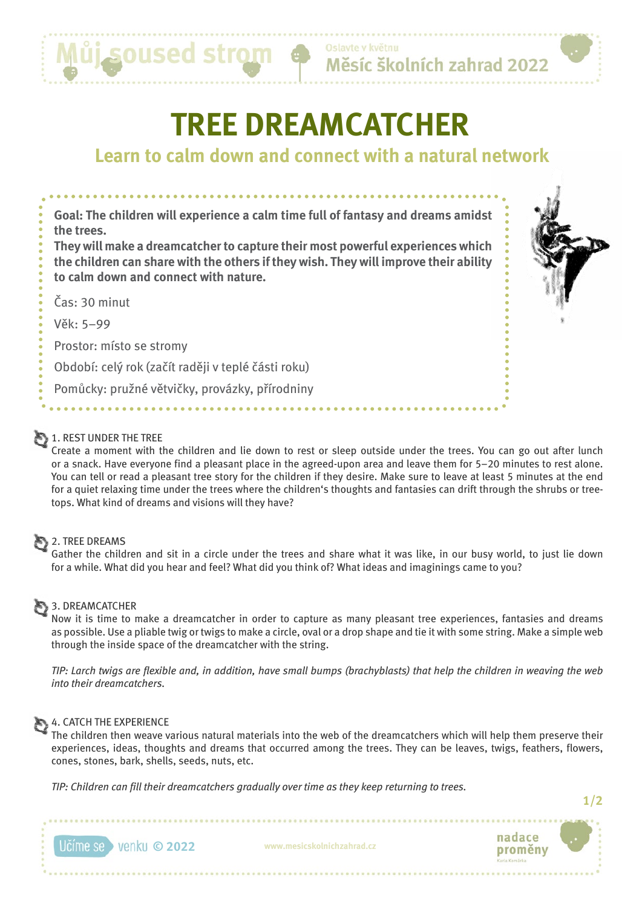

Měsíc školních zahrad 2022

# **TREE DREAMCATCHER**

# **Learn to calm down and connect with a natural network**

**Goal: The children will experience a calm time full of fantasy and dreams amidst the trees. They will make a dreamcatcher to capture their most powerful experiences which the children can share with the others if they wish. They will improve their ability** 

**to calm down and connect with nature.**

Čas: 30 minut

Věk: 5–99

Prostor: místo se stromy

Období: celý rok (začít raději v teplé části roku)

Pomůcky: pružné větvičky, provázky, přírodniny

## 1. REST UNDER THE TREE

Create a moment with the children and lie down to rest or sleep outside under the trees. You can go out after lunch or a snack. Have everyone find a pleasant place in the agreed-upon area and leave them for 5–20 minutes to rest alone. You can tell or read a pleasant tree story for the children if they desire. Make sure to leave at least 5 minutes at the end for a quiet relaxing time under the trees where the children's thoughts and fantasies can drift through the shrubs or treetops. What kind of dreams and visions will they have?

#### **2. TREE DREAMS**

Gather the children and sit in a circle under the trees and share what it was like, in our busy world, to just lie down for a while. What did you hear and feel? What did you think of? What ideas and imaginings came to you?

#### 3. DREAMCATCHER

Now it is time to make a dreamcatcher in order to capture as many pleasant tree experiences, fantasies and dreams as possible. Use a pliable twig or twigs to make a circle, oval or a drop shape and tie it with some string. Make a simple web through the inside space of the dreamcatcher with the string.

*TIP: Larch twigs are flexible and, in addition, have small bumps (brachyblasts) that help the children in weaving the web into their dreamcatchers.*

#### 4. CATCH THE EXPERIENCE

The children then weave various natural materials into the web of the dreamcatchers which will help them preserve their experiences, ideas, thoughts and dreams that occurred among the trees. They can be leaves, twigs, feathers, flowers, cones, stones, bark, shells, seeds, nuts, etc.

*TIP: Children can fill their dreamcatchers gradually over time as they keep returning to trees.*